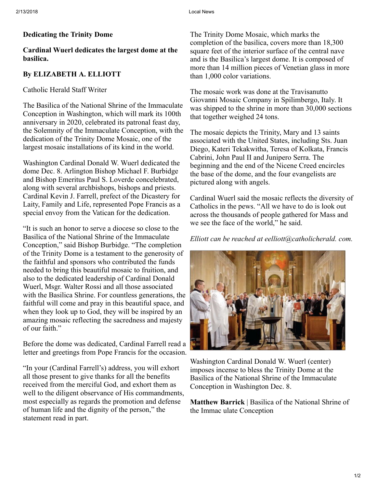#### Dedicating the Trinity Dome

## Cardinal Wuerl dedicates the largest dome at the basilica.

## By ELIZABETH A. ELLIOTT

#### Catholic Herald Staff Writer

The Basilica of the National Shrine of the Immaculate Conception in Washington, which will mark its 100th anniversary in 2020, celebrated its patronal feast day, the Solemnity of the Immaculate Conception, with the dedication of the Trinity Dome Mosaic, one of the largest mosaic installations of its kind in the world.

Washington Cardinal Donald W. Wuerl dedicated the dome Dec. 8. Arlington Bishop Michael F. Burbidge and Bishop Emeritus Paul S. Loverde concelebrated, along with several archbishops, bishops and priests. Cardinal Kevin J. Farrell, prefect of the Dicastery for Laity, Family and Life, represented Pope Francis as a special envoy from the Vatican for the dedication.

"It is such an honor to serve a diocese so close to the Basilica of the National Shrine of the Immaculate Conception," said Bishop Burbidge. "The completion of the Trinity Dome is a testament to the generosity of the faithful and sponsors who contributed the funds needed to bring this beautiful mosaic to fruition, and also to the dedicated leadership of Cardinal Donald Wuerl, Msgr. Walter Rossi and all those associated with the Basilica Shrine. For countless generations, the faithful will come and pray in this beautiful space, and when they look up to God, they will be inspired by an amazing mosaic reflecting the sacredness and majesty of our faith."

Before the dome was dedicated, Cardinal Farrell read a letter and greetings from Pope Francis for the occasion.

"In your (Cardinal Farrell's) address, you will exhort all those present to give thanks for all the benefits received from the merciful God, and exhort them as well to the diligent observance of His commandments, most especially as regards the promotion and defense of human life and the dignity of the person," the statement read in part.

The Trinity Dome Mosaic, which marks the completion of the basilica, covers more than 18,300 square feet of the interior surface of the central nave and is the Basilica's largest dome. It is composed of more than 14 million pieces of Venetian glass in more than 1,000 color variations.

The mosaic work was done at the Travisanutto Giovanni Mosaic Company in Spilimbergo, Italy. It was shipped to the shrine in more than 30,000 sections that together weighed 24 tons.

The mosaic depicts the Trinity, Mary and 13 saints associated with the United States, including Sts. Juan Diego, Kateri Tekakwitha, Teresa of Kolkata, Francis Cabrini, John Paul II and Junipero Serra. The beginning and the end of the Nicene Creed encircles the base of the dome, and the four evangelists are pictured along with angels.

Cardinal Wuerl said the mosaic reflects the diversity of Catholics in the pews. "All we have to do is look out across the thousands of people gathered for Mass and we see the face of the world," he said.

## *Elliott can be reached at eelliott@catholicherald. com.*



Washington Cardinal Donald W. Wuerl (center) imposes incense to bless the Trinity Dome at the Basilica of the National Shrine of the Immaculate Conception in Washington Dec. 8.

Matthew Barrick | Basilica of the National Shrine of the Immac ulate Conception